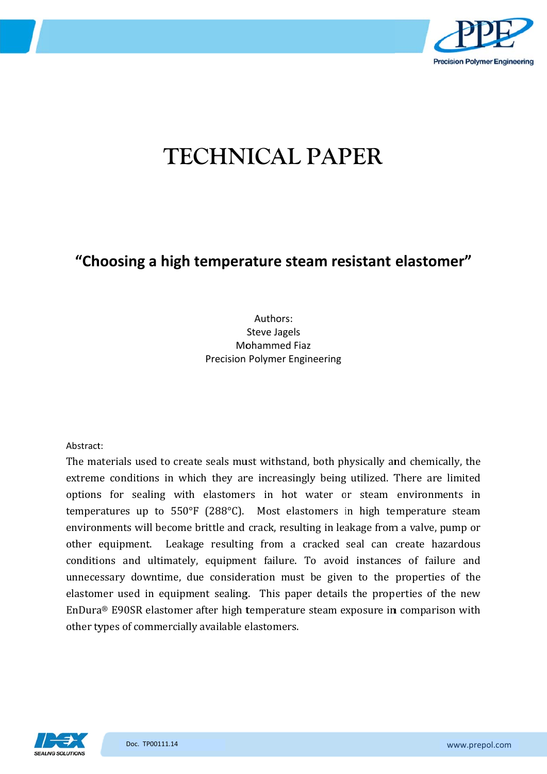

# **TECHNICAL PAPER**

## "Choosing a high temperature steam resistant elastomer"

### Authors: Steve Jagels Mohammed Fiaz **Precision Polymer Engineering**

Abstract:

The materials used to create seals must withstand, both physically and chemically, the extreme conditions in which they are increasingly being utilized. There are limited options for sealing with elastomers in hot water or steam environments in temperatures up to 550°F (288°C). Most elastomers in high temperature steam environments will become brittle and crack, resulting in leakage from a valve, pump or other equipment. Leakage resulting from a cracked seal can create hazardous conditions and ultimately, equipment failure. To avoid instances of failure and unnecessary downtime, due consideration must be given to the properties of the elastomer used in equipment sealing. This paper details the properties of the new EnDura® E90SR elastomer after high temperature steam exposure in comparison with other types of commercially available elastomers.

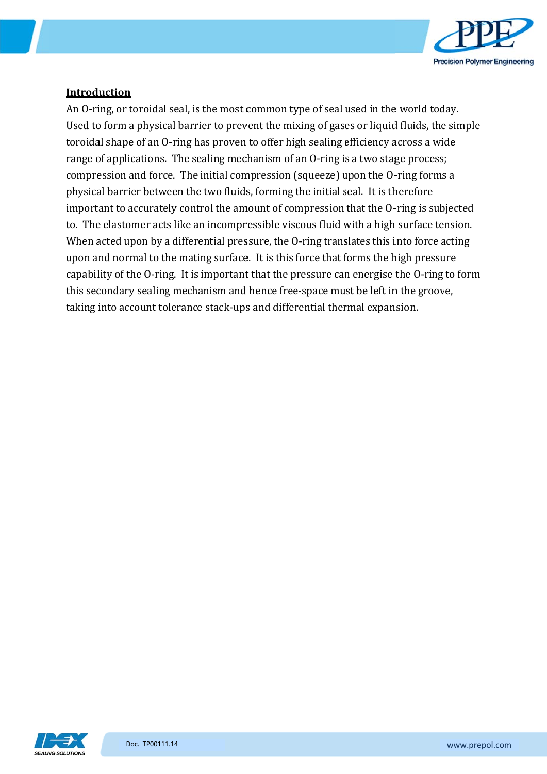

#### **Introduction**

An O-ring, or toroidal seal, is the most common type of seal used in the world today. Used to form a physical barrier to prevent the mixing of gases or liquid fluids, the simple toroidal shape of an O-ring has proven to offer high sealing efficiency across a wide range of applications. The sealing mechanism of an O-ring is a two stage process: compression and force. The initial compression (squeeze) upon the O-ring forms a physical barrier between the two fluids, forming the initial seal. It is therefore important to accurately control the amount of compression that the O-ring is subjected to. The elastomer acts like an incompressible viscous fluid with a high surface tension. When acted upon by a differential pressure, the 0-ring translates this into force acting upon and normal to the mating surface. It is this force that forms the high pressure capability of the O-ring. It is important that the pressure can energise the O-ring to form this secondary sealing mechanism and hence free-space must be left in the groove. taking into account tolerance stack-ups and differential thermal expansion.

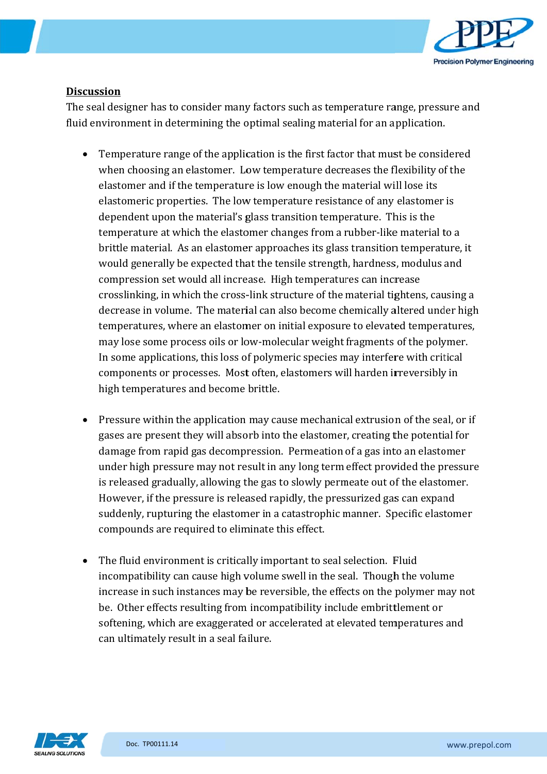

#### **Discussion**

The seal designer has to consider many factors such as temperature range, pressure and fluid environment in determining the optimal sealing material for an application.

- Temperature range of the application is the first factor that must be considered when choosing an elastomer. Low temperature decreases the flexibility of the elastomer and if the temperature is low enough the material will lose its elastomeric properties. The low temperature resistance of any elastomer is dependent upon the material's glass transition temperature. This is the temperature at which the elastomer changes from a rubber-like material to a brittle material. As an elastomer approaches its glass transition temperature, it would generally be expected that the tensile strength, hardness, modulus and compression set would all increase. High temperatures can increase crosslinking, in which the cross-link structure of the material tightens, causing a decrease in volume. The material can also become chemically altered under high temperatures, where an elastomer on initial exposure to elevated temperatures, may lose some process oils or low-molecular weight fragments of the polymer. In some applications, this loss of polymeric species may interfere with critical components or processes. Most often, elastomers will harden irreversibly in high temperatures and become brittle.
- Pressure within the application may cause mechanical extrusion of the seal, or if gases are present they will absorb into the elastomer, creating the potential for damage from rapid gas decompression. Permeation of a gas into an elastomer under high pressure may not result in any long term effect provided the pressure is released gradually, allowing the gas to slowly permeate out of the elastomer. However, if the pressure is released rapidly, the pressurized gas can expand suddenly, rupturing the elastomer in a catastrophic manner. Specific elastomer compounds are required to eliminate this effect.
- The fluid environment is critically important to seal selection. Fluid incompatibility can cause high volume swell in the seal. Though the volume increase in such instances may be reversible, the effects on the polymer may not be. Other effects resulting from incompatibility include embrittlement or softening, which are exaggerated or accelerated at elevated temperatures and can ultimately result in a seal failure.

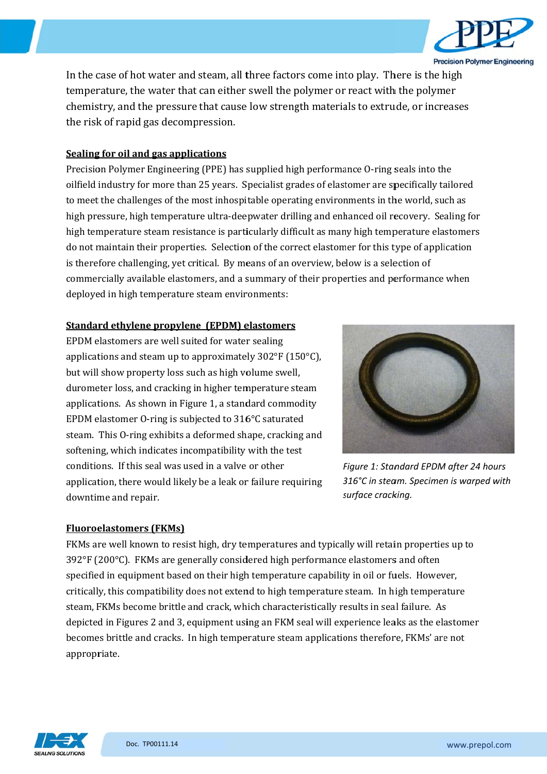

In the case of hot water and steam, all three factors come into play. There is the high temperature, the water that can either swell the polymer or react with the polymer chemistry, and the pressure that cause low strength materials to extrude, or increases the risk of rapid gas decompression.

#### Sealing for oil and gas applications

Precision Polymer Engineering (PPE) has supplied high performance O-ring seals into the oilfield industry for more than 25 years. Specialist grades of elastomer are specifically tailored to meet the challenges of the most inhospitable operating environments in the world, such as high pressure, high temperature ultra-deepwater drilling and enhanced oil recovery. Sealing for high temperature steam resistance is particularly difficult as many high temperature elastomers do not maintain their properties. Selection of the correct elastomer for this type of application is therefore challenging, yet critical. By means of an overview, below is a selection of commercially available elastomers, and a summary of their properties and performance when deployed in high temperature steam environments:

#### Standard ethylene propylene (EPDM) elastomers

EPDM elastomers are well suited for water sealing applications and steam up to approximately 302°F (150°C), but will show property loss such as high volume swell. durometer loss, and cracking in higher temperature steam applications. As shown in Figure 1, a standard commodity EPDM elastomer O-ring is subjected to 316°C saturated steam. This O-ring exhibits a deformed shape, cracking and softening, which indicates incompatibility with the test conditions. If this seal was used in a valve or other application, there would likely be a leak or failure requiring downtime and repair.

Figure 1: Standard EPDM after 24 hours 316℃ in steam. Specimen is warped with surface cracking.

#### **Fluoroelastomers (FKMs)**

FKMs are well known to resist high, dry temperatures and typically will retain properties up to 392°F (200°C). FKMs are generally considered high performance elastomers and often specified in equipment based on their high temperature capability in oil or fuels. However, critically, this compatibility does not extend to high temperature steam. In high temperature steam, FKMs become brittle and crack, which characteristically results in seal failure. As depicted in Figures 2 and 3, equipment using an FKM seal will experience leaks as the elastomer becomes brittle and cracks. In high temperature steam applications therefore, FKMs' are not appropriate.

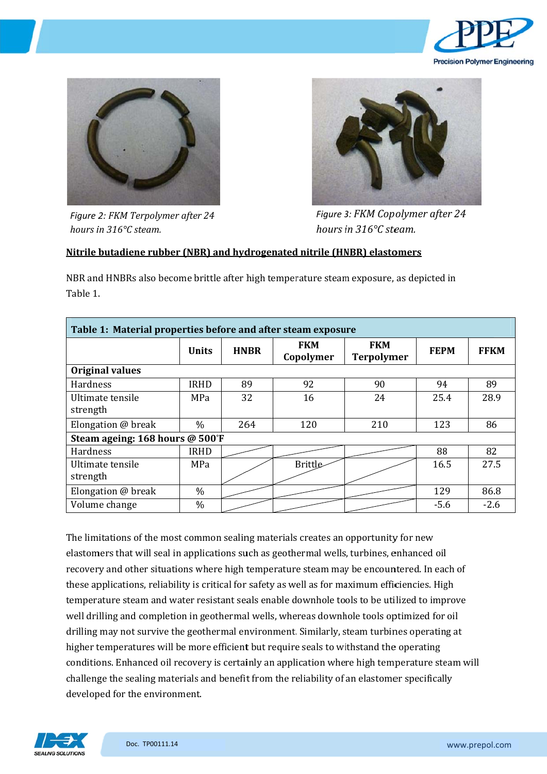



Figure 2: FKM Terpolymer after 24 hours in 316°C steam.



Figure 3: FKM Copolymer after 24 hours in  $316^{\circ}$ C steam.

#### Nitrile butadiene rubber (NBR) and hydrogenated nitrile (HNBR) elastomers

NBR and HNBRs also become brittle after high temperature steam exposure, as depicted in Table 1.

| Table 1: Material properties before and after steam exposure |               |             |                         |                                 |             |             |  |
|--------------------------------------------------------------|---------------|-------------|-------------------------|---------------------------------|-------------|-------------|--|
|                                                              | <b>Units</b>  | <b>HNBR</b> | <b>FKM</b><br>Copolymer | <b>FKM</b><br><b>Terpolymer</b> | <b>FEPM</b> | <b>FFKM</b> |  |
| <b>Original values</b>                                       |               |             |                         |                                 |             |             |  |
| Hardness                                                     | <b>IRHD</b>   | 89          | 92                      | 90                              | 94          | 89          |  |
| Ultimate tensile<br>strength                                 | MPa           | 32          | 16                      | 24                              | 25.4        | 28.9        |  |
| Elongation @ break                                           | $\frac{0}{0}$ | 264         | 120                     | 210                             | 123         | 86          |  |
| Steam ageing: 168 hours @ 500°F                              |               |             |                         |                                 |             |             |  |
| Hardness                                                     | <b>IRHD</b>   |             |                         |                                 | 88          | 82          |  |
| Ultimate tensile<br>strength                                 | MPa           |             | <b>Brittle</b>          |                                 | 16.5        | 27.5        |  |
| Elongation @ break                                           | $\%$          |             |                         |                                 | 129         | 86.8        |  |
| Volume change                                                | %             |             |                         |                                 | $-5.6$      | $-2.6$      |  |

The limitations of the most common sealing materials creates an opportunity for new elastomers that will seal in applications such as geothermal wells, turbines, enhanced oil recovery and other situations where high temperature steam may be encountered. In each of these applications, reliability is critical for safety as well as for maximum efficiencies. High temperature steam and water resistant seals enable downhole tools to be utilized to improve well drilling and completion in geothermal wells, whereas downhole tools optimized for oil drilling may not survive the geothermal environment. Similarly, steam turbines operating at higher temperatures will be more efficient but require seals to withstand the operating conditions. Enhanced oil recovery is certainly an application where high temperature steam will challenge the sealing materials and benefit from the reliability of an elastomer specifically developed for the environment.

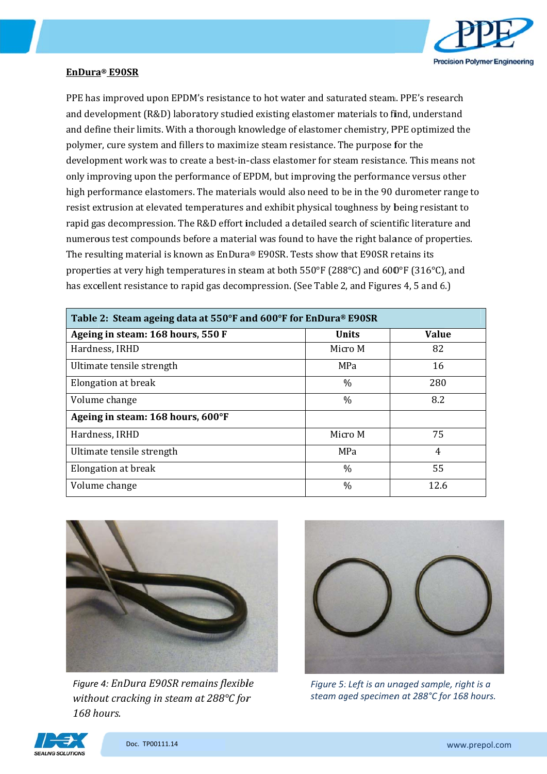

#### EnDura® E90SR

PPE has improved upon EPDM's resistance to hot water and saturated steam. PPE's research and development (R&D) laboratory studied existing elastomer materials to find, understand and define their limits. With a thorough knowledge of elastomer chemistry, PPE optimized the polymer, cure system and fillers to maximize steam resistance. The purpose for the development work was to create a best-in-class elastomer for steam resistance. This means not only improving upon the performance of EPDM, but improving the performance versus other high performance elastomers. The materials would also need to be in the 90 durometer range to resist extrusion at elevated temperatures and exhibit physical toughness by being resistant to rapid gas decompression. The R&D effort included a detailed search of scientific literature and numerous test compounds before a material was found to have the right balance of properties. The resulting material is known as EnDura® E90SR. Tests show that E90SR retains its properties at very high temperatures in steam at both 550°F (288°C) and 600°F (316°C), and has excellent resistance to rapid gas decompression. (See Table 2, and Figures 4, 5 and 6.)

| Table 2: Steam ageing data at 550°F and 600°F for EnDura® E90SR |              |                |  |  |  |
|-----------------------------------------------------------------|--------------|----------------|--|--|--|
| Ageing in steam: 168 hours, 550 F                               | <b>Units</b> | <b>Value</b>   |  |  |  |
| Hardness, IRHD                                                  | Micro M      | 82             |  |  |  |
| Ultimate tensile strength                                       | MPa          | 16             |  |  |  |
| Elongation at break                                             | $\%$         | 280            |  |  |  |
| Volume change                                                   | $\%$         | 8.2            |  |  |  |
| Ageing in steam: 168 hours, 600°F                               |              |                |  |  |  |
| Hardness, IRHD                                                  | Micro M      | 75             |  |  |  |
| Ultimate tensile strength                                       | MPa          | $\overline{4}$ |  |  |  |
| Elongation at break                                             | $\%$         | 55             |  |  |  |
| Volume change                                                   | $\%$<br>12.6 |                |  |  |  |



Figure 4: EnDura E90SR remains flexible without cracking in steam at 288°C for 168 hours.



Figure 5: Left is an unaged sample, right is a steam aged specimen at 288°C for 168 hours.